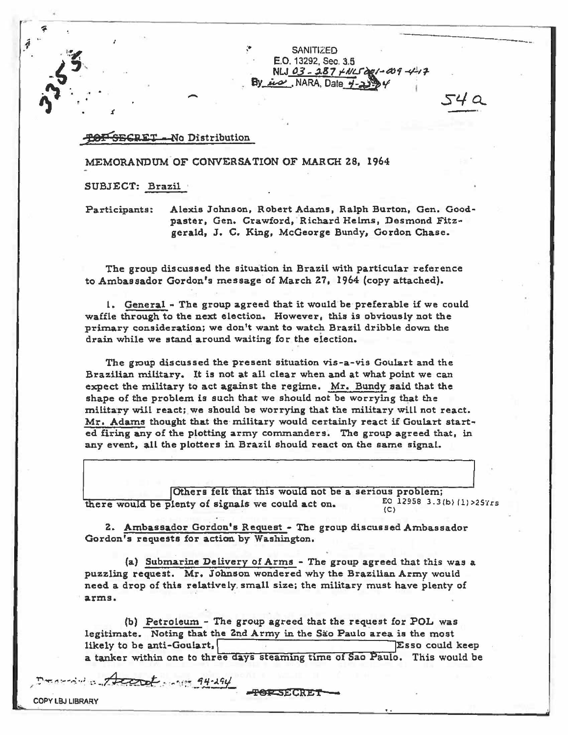SANITIZED. E.O. 13292, Sec. 3,5 NLJ 03-287 XNL5001-009-4-17  $Bv\_div$ , NARA, Date  $y-z$ 

------

54 a

--------------------------------------------------------------------~

## TOF SECRET-No Distribution

- *.t* 

MEMORANDUM-OF CONVERSATION OF MARCH zs. 1964

SUBJECT: Brazil ·

Participants: Alexis Johnson, Robert Adams, Ralph Burton, Gen. Goodpaster, Gen. Crawford, Richard Helms, Desmond Fitzgerald, J. C. King, McGeorge Bundy, Gordon Chase.

The group discussed the situation in Brazil with particular reference to Ambassador Gordon's message of March 27, 1964 (copy attached).

1. General - The group agreed that it would be preferable if we could waffle through to the next election. However, this is obviously not the primary consideration; we don't want to watch Brazil dribble down the drain while we stand around waiting for the eiection.

The group discussed the present situation vis-a-vis Goulart and the Brazilian military. It is not at all clear when and at what point we can expect the military to act against the regime. Mr. Bundy said that the shape of the problem is such that we should not be worrying that the military will react; we should be worrying that the military will not react. Mr. Adams thought that the military would certainly react if Goulart started firing any of the plotting army commanders. The group agreed that, in any event, all the plotters in Brazil should react on the same signal.

Others felt that this would not be a serious problem;<br>fenty of signals we could act on.  $EQ = 12958 - 3.3(b) (1) > 257rs$ there would be plenty of signals we could act on.  $E_0$   $(C)$ 

z. Ambassador Gordon's Request - The group discussed Ambassador Gordon's requests for action by Washington.

(a) Submarine De livery of Arms - The group agreed that this was a puzzling request. Mr. Johnson wondered why the Brazilian Arrny would need a drop of this relatively. small size; the military must have plenty of arms.

(b) Petroleum - The group agreed that the request for POL was legitimate. Noting that the 2nd Army in the São Paulo area is the most likely to be anti-Goulart, **Esso could keep** a tanker within one to three days steaming time of Sao Paulo. This would be

**POPSECRET** 

 $10 - 7$  ....  $7$  and  $10 - 94 - 294$ 

**COPY LBJ LIBRARY**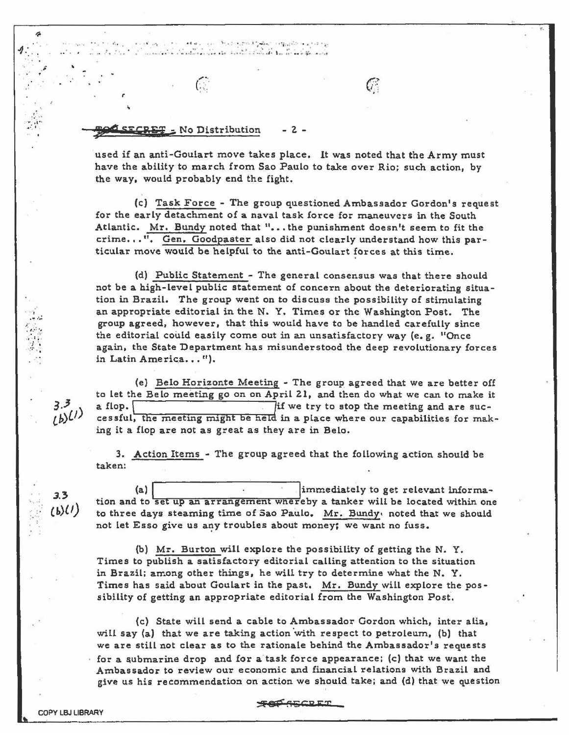·- • *.r ••*   $\gamma_1+\cdots+\delta+\mu_{\mathcal{A}}\equiv\gamma_{\mathcal{A}}\equiv\mathcal{H}_{\mathcal{A}}\otimes\mathcal{H}_{\mathcal{A}}\otimes\mathcal{H}_{\mathcal{A}}^{\mathcal{A}}\otimes\mathcal{H}_{\mathcal{A}}\otimes\cdots\otimes\mathcal{H}_{\mathcal{B}}\otimes\mathcal{H}_{\mathcal{B}}\otimes\cdots\otimes\mathcal{H}_{\mathcal{B}}$  $\mathbf{x} \in \mathbb{R}^d$  ,  $\mathcal{A}_\mathbf{x}$  , -1 .: . . •• • ' .. -· *\_f"' :* • • • • and the start of the start is the state

**Ji'i"' SE5 E'&f** ;. No Distribution - *z* -

 $\mathcal{C}$ 

. ,. ,.

used if an anti-Goulart move takes place. It was noted that the Army must have the ability to march from Sao Paulo to take over Rio; such action, by the way, would probably end the fight.

 $C^{\circ}$ 

{c) Task Force - The group questioned Ambassador Gordon's request for the early detachment of a naval task force for maneuvers in the South Atlantic. Mr. Bundy noted that "· •• the punishment doesn't seem to fit the crime, • • ". Gen. Goodpaster also did not dearly understand how this particular move would be helpful to the anti-Goulart forces at this time.

(d) Public Statement - The general consensus was that there should not be a high-level public statement of concern about the deteriorating situation in Brazil. The group went on to discuss the possibility of stimulating an appropriate editorial in the N. Y. Times or the Washington Post. The group agreed, however, that this would have to be handled carefully since the editorial could easily come out in an unsatisfactory way (e.g.  $^1$ Once again, the State Department has misunderstood the deep revolutionary forces in Latin America...").

(e) Belo Horizonte Meeting - The group agreed that we are better off to let the Belo meeting go on on April 21, and then do what we can to make it a flop. cessful, the meeting might be held in a place where our capabilities for making it a flop are not as great as they are in Belo.

3. Action Items - The group agreed that the following action should be taken:

(a) immediately to get relevant information and to set up an arrangement whereby a tanker will be located within one to three days steaming time of Sao Paulo. Mr. Bundy, noted that we should not let Esso give us any troubles about money; we want no fuss.

(b) Mr. Burton will explore the possibility of getting the N. Y. Times to publish a satisfactory editorial calling attention to the situation in Brazil; among other things, he will try to determine what the N. Y. Times has said about Goulart in the past. Mr. Bundy will explore the possibility of getting an appropriate editorial from the Washington Post·.

(c) State will send a cable to Ambassador Gordon which, inter alia, will say (a) that we are taking action with respect to petroleum, (b) that we are still not clear as to the rationale behind the Ambassador's requests for a submarine drop and for a task force appearance; (c) that we want the Ambassador to review our economic and financial relations with Brazil and give us his recommendation on action we should take; and (d) that we question

**FOR AGGREE** 

,·  $\frac{1}{2}$ 

•' ·, .-... : *)'* ' . ,\_.: ., • •1"

 $\cdots$  .  $\pm$   $\cdot$ ,  $\cdot \cdot \cdot$ 

> *3.)* ....  $(b)(1)$

 $3.3$  $(b)$ (1)